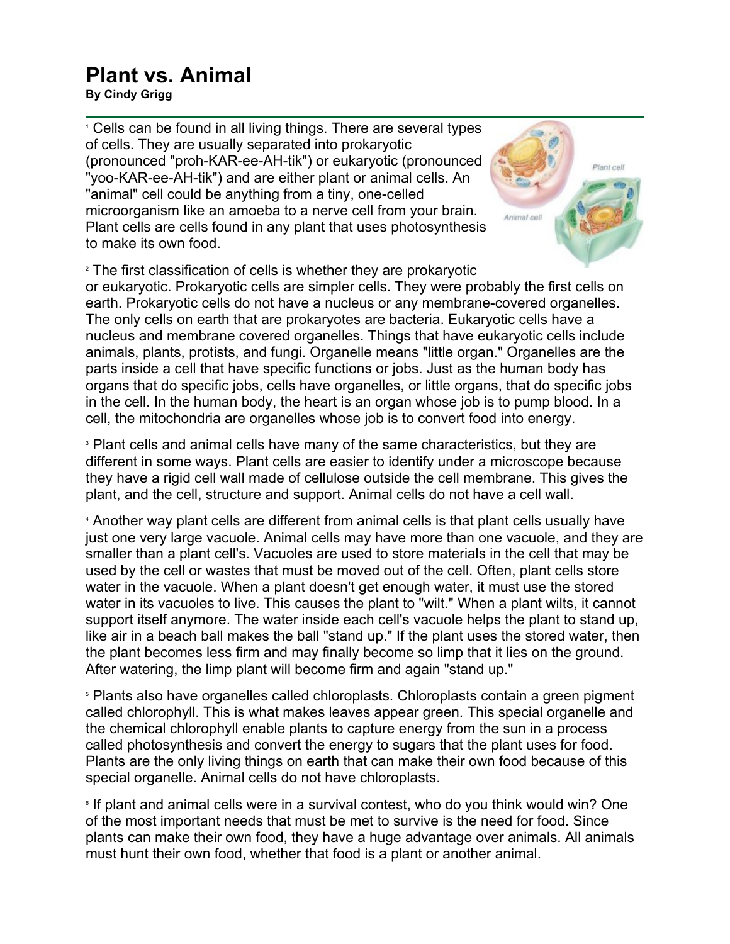## **Plant vs. Animal**

**By Cindy Grigg**

<sup>1</sup> Cells can be found in all living things. There are several types of cells. They are usually separated into prokaryotic (pronounced "proh-KAR-ee-AH-tik") or eukaryotic (pronounced "yoo-KAR-ee-AH-tik") and are either plant or animal cells. An "animal" cell could be anything from a tiny, one-celled microorganism like an amoeba to a nerve cell from your brain. Plant cells are cells found in any plant that uses photosynthesis to make its own food.

<sup>2</sup> The first classification of cells is whether they are prokaryotic or eukaryotic. Prokaryotic cells are simpler cells. They were probably the first cells on earth. Prokaryotic cells do not have a nucleus or any membrane-covered organelles. The only cells on earth that are prokaryotes are bacteria. Eukaryotic cells have a nucleus and membrane covered organelles. Things that have eukaryotic cells include animals, plants, protists, and fungi. Organelle means "little organ." Organelles are the parts inside a cell that have specific functions or jobs. Just as the human body has organs that do specific jobs, cells have organelles, or little organs, that do specific jobs in the cell. In the human body, the heart is an organ whose job is to pump blood. In a cell, the mitochondria are organelles whose job is to convert food into energy.

Plant cell

nimal cel

<sup>3</sup> Plant cells and animal cells have many of the same characteristics, but they are different in some ways. Plant cells are easier to identify under a microscope because they have a rigid cell wall made of cellulose outside the cell membrane. This gives the plant, and the cell, structure and support. Animal cells do not have a cell wall.

<sup>4</sup> Another way plant cells are different from animal cells is that plant cells usually have just one very large vacuole. Animal cells may have more than one vacuole, and they are smaller than a plant cell's. Vacuoles are used to store materials in the cell that may be used by the cell or wastes that must be moved out of the cell. Often, plant cells store water in the vacuole. When a plant doesn't get enough water, it must use the stored water in its vacuoles to live. This causes the plant to "wilt." When a plant wilts, it cannot support itself anymore. The water inside each cell's vacuole helps the plant to stand up, like air in a beach ball makes the ball "stand up." If the plant uses the stored water, then the plant becomes less firm and may finally become so limp that it lies on the ground. After watering, the limp plant will become firm and again "stand up."

<sup>5</sup> Plants also have organelles called chloroplasts. Chloroplasts contain a green pigment called chlorophyll. This is what makes leaves appear green. This special organelle and the chemical chlorophyll enable plants to capture energy from the sun in a process called photosynthesis and convert the energy to sugars that the plant uses for food. Plants are the only living things on earth that can make their own food because of this special organelle. Animal cells do not have chloroplasts.

<sup>6</sup> If plant and animal cells were in a survival contest, who do you think would win? One of the most important needs that must be met to survive is the need for food. Since plants can make their own food, they have a huge advantage over animals. All animals must hunt their own food, whether that food is a plant or another animal.